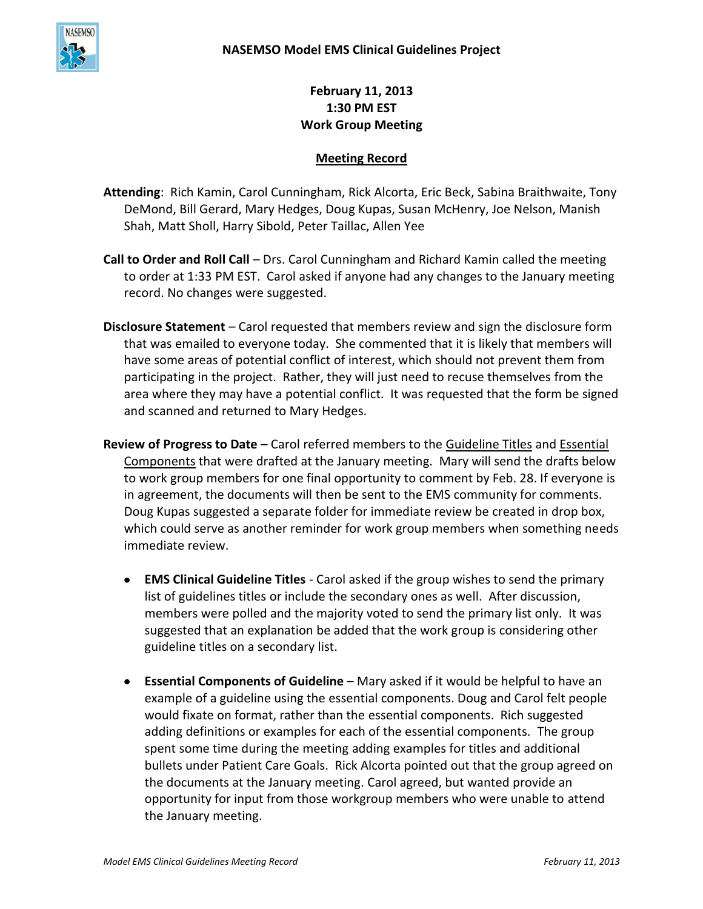

**February 11, 2013 1:30 PM EST Work Group Meeting**

## **Meeting Record**

**Attending**: Rich Kamin, Carol Cunningham, Rick Alcorta, Eric Beck, Sabina Braithwaite, Tony DeMond, Bill Gerard, Mary Hedges, Doug Kupas, Susan McHenry, Joe Nelson, Manish Shah, Matt Sholl, Harry Sibold, Peter Taillac, Allen Yee

- **Call to Order and Roll Call** Drs. Carol Cunningham and Richard Kamin called the meeting to order at 1:33 PM EST. Carol asked if anyone had any changes to the January meeting record. No changes were suggested.
- **Disclosure Statement**  Carol requested that members review and sign the disclosure form that was emailed to everyone today. She commented that it is likely that members will have some areas of potential conflict of interest, which should not prevent them from participating in the project. Rather, they will just need to recuse themselves from the area where they may have a potential conflict. It was requested that the form be signed and scanned and returned to Mary Hedges.
- **Review of Progress to Date** Carol referred members to the Guideline Titles and Essential Components that were drafted at the January meeting. Mary will send the drafts below to work group members for one final opportunity to comment by Feb. 28. If everyone is in agreement, the documents will then be sent to the EMS community for comments. Doug Kupas suggested a separate folder for immediate review be created in drop box, which could serve as another reminder for work group members when something needs immediate review.
	- **EMS Clinical Guideline Titles** Carol asked if the group wishes to send the primary list of guidelines titles or include the secondary ones as well. After discussion, members were polled and the majority voted to send the primary list only. It was suggested that an explanation be added that the work group is considering other guideline titles on a secondary list.
	- **Essential Components of Guideline** Mary asked if it would be helpful to have an example of a guideline using the essential components. Doug and Carol felt people would fixate on format, rather than the essential components. Rich suggested adding definitions or examples for each of the essential components. The group spent some time during the meeting adding examples for titles and additional bullets under Patient Care Goals. Rick Alcorta pointed out that the group agreed on the documents at the January meeting. Carol agreed, but wanted provide an opportunity for input from those workgroup members who were unable to attend the January meeting.